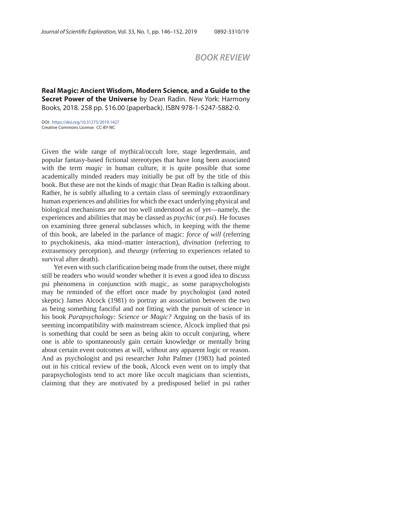## *BOOK REVIEW*

**Real Magic: Ancient Wisdom, Modern Science, and a Guide to the Secret Power of the Universe** by Dean Radin. New York: Harmony Books, 2018. 258 pp. \$16.00 (paperback). ISBN 978-1-5247-5882-0.

DOI: https://doi.org/10.31275/2019.1427 Creative Commons License: CC-BY-NC

Given the wide range of mythical/occult lore, stage legerdemain, and popular fantasy-based fictional stereotypes that have long been associated with the term *magic* in human culture, it is quite possible that some academically minded readers may initially be put off by the title of this book. But these are not the kinds of magic that Dean Radin is talking about. Rather, he is subtly alluding to a certain class of seemingly extraordinary human experiences and abilities for which the exact underlying physical and biological mechanisms are not too well understood as of yet—namely, the experiences and abilities that may be classed as *psychic* (or *psi*). He focuses on examining three general subclasses which, in keeping with the theme of this book, are labeled in the parlance of magic: *force of will* (referring to psychokinesis, aka mind–matter interaction), *divination* (referring to extrasensory perception), and *theurgy* (referring to experiences related to survival after death).

Yet even with such clarification being made from the outset, there might still be readers who would wonder whether it is even a good idea to discuss psi phenomena in conjunction with magic, as some parapsychologists may be reminded of the effort once made by psychologist (and noted skeptic) James Alcock (1981) to portray an association between the two as being something fanciful and not fitting with the pursuit of science in his book *Parapsychology: Science or Magic?* Arguing on the basis of its seeming incompatibility with mainstream science, Alcock implied that psi is something that could be seen as being akin to occult conjuring, where one is able to spontaneously gain certain knowledge or mentally bring about certain event outcomes at will, without any apparent logic or reason. And as psychologist and psi researcher John Palmer (1983) had pointed out in his critical review of the book, Alcock even went on to imply that parapsychologists tend to act more like occult magicians than scientists, claiming that they are motivated by a predisposed belief in psi rather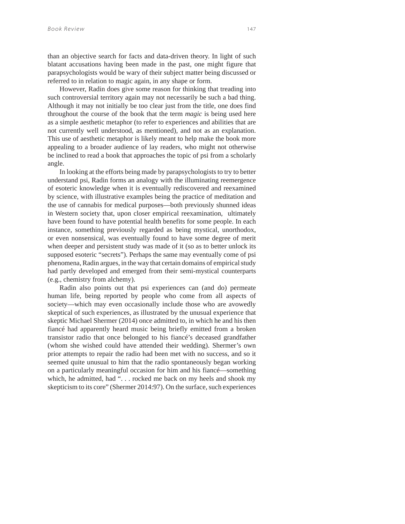than an objective search for facts and data-driven theory. In light of such blatant accusations having been made in the past, one might figure that parapsychologists would be wary of their subject matter being discussed or referred to in relation to magic again, in any shape or form.

However, Radin does give some reason for thinking that treading into such controversial territory again may not necessarily be such a bad thing. Although it may not initially be too clear just from the title, one does find throughout the course of the book that the term *magic* is being used here as a simple aesthetic metaphor (to refer to experiences and abilities that are not currently well understood, as mentioned), and not as an explanation. This use of aesthetic metaphor is likely meant to help make the book more appealing to a broader audience of lay readers, who might not otherwise be inclined to read a book that approaches the topic of psi from a scholarly angle.

In looking at the efforts being made by parapsychologists to try to better understand psi, Radin forms an analogy with the illuminating reemergence of esoteric knowledge when it is eventually rediscovered and reexamined by science, with illustrative examples being the practice of meditation and the use of cannabis for medical purposes—both previously shunned ideas in Western society that, upon closer empirical reexamination, ultimately have been found to have potential health benefits for some people. In each instance, something previously regarded as being mystical, unorthodox, or even nonsensical, was eventually found to have some degree of merit when deeper and persistent study was made of it (so as to better unlock its supposed esoteric "secrets"). Perhaps the same may eventually come of psi phenomena, Radin argues, in the way that certain domains of empirical study had partly developed and emerged from their semi-mystical counterparts (e.g., chemistry from alchemy).

Radin also points out that psi experiences can (and do) permeate human life, being reported by people who come from all aspects of society—which may even occasionally include those who are avowedly skeptical of such experiences, as illustrated by the unusual experience that skeptic Michael Shermer (2014) once admitted to, in which he and his then fiancé had apparently heard music being briefly emitted from a broken transistor radio that once belonged to his fiancé's deceased grandfather (whom she wished could have attended their wedding). Shermer's own prior attempts to repair the radio had been met with no success, and so it seemed quite unusual to him that the radio spontaneously began working on a particularly meaningful occasion for him and his fiancé—something which, he admitted, had "... rocked me back on my heels and shook my skepticism to its core" (Shermer 2014:97). On the surface, such experiences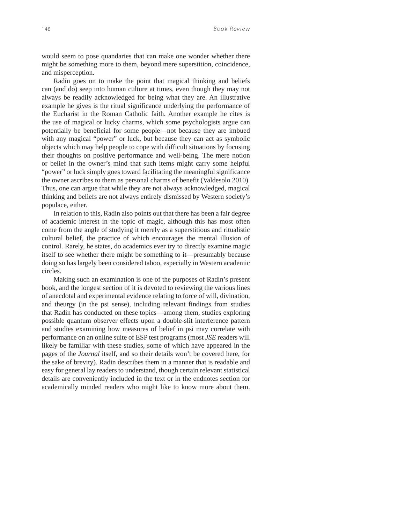would seem to pose quandaries that can make one wonder whether there might be something more to them, beyond mere superstition, coincidence, and misperception.

Radin goes on to make the point that magical thinking and beliefs can (and do) seep into human culture at times, even though they may not always be readily acknowledged for being what they are. An illustrative example he gives is the ritual significance underlying the performance of the Eucharist in the Roman Catholic faith. Another example he cites is the use of magical or lucky charms, which some psychologists argue can potentially be beneficial for some people—not because they are imbued with any magical "power" or luck, but because they can act as symbolic objects which may help people to cope with difficult situations by focusing their thoughts on positive performance and well-being. The mere notion or belief in the owner's mind that such items might carry some helpful "power" or luck simply goes toward facilitating the meaningful significance the owner ascribes to them as personal charms of benefit (Valdesolo 2010). Thus, one can argue that while they are not always acknowledged, magical thinking and beliefs are not always entirely dismissed by Western society's populace, either.

In relation to this, Radin also points out that there has been a fair degree of academic interest in the topic of magic, although this has most often come from the angle of studying it merely as a superstitious and ritualistic cultural belief, the practice of which encourages the mental illusion of control. Rarely, he states, do academics ever try to directly examine magic itself to see whether there might be something to it—presumably because doing so has largely been considered taboo, especially in Western academic circles.

Making such an examination is one of the purposes of Radin's present book, and the longest section of it is devoted to reviewing the various lines of anecdotal and experimental evidence relating to force of will, divination, and theurgy (in the psi sense), including relevant findings from studies that Radin has conducted on these topics—among them, studies exploring possible quantum observer effects upon a double-slit interference pattern and studies examining how measures of belief in psi may correlate with performance on an online suite of ESP test programs (most *JSE* readers will likely be familiar with these studies, some of which have appeared in the pages of the *Journal* itself, and so their details won't be covered here, for the sake of brevity). Radin describes them in a manner that is readable and easy for general lay readers to understand, though certain relevant statistical details are conveniently included in the text or in the endnotes section for academically minded readers who might like to know more about them.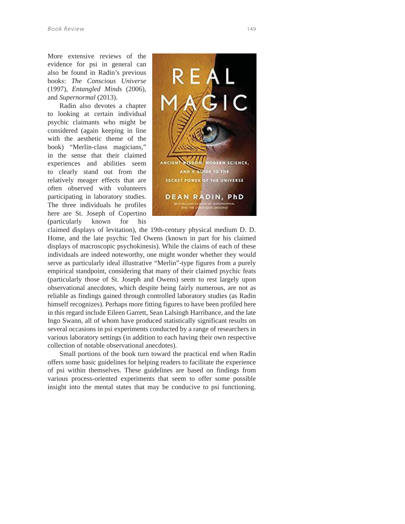More extensive reviews of the evidence for psi in general can also be found in Radin's previous books: *The Conscious Universe*  (1997), *Entangled Minds* (2006), and *Supernormal* (2013).

Radin also devotes a chapter to looking at certain individual psychic claimants who might be considered (again keeping in line with the aesthetic theme of the book) "Merlin-class magicians," in the sense that their claimed experiences and abilities seem to clearly stand out from the relatively meager effects that are often observed with volunteers participating in laboratory studies. The three individuals he profiles here are St. Joseph of Copertino (particularly known for his



claimed displays of levitation), the 19th-century physical medium D. D. Home, and the late psychic Ted Owens (known in part for his claimed displays of macroscopic psychokinesis). While the claims of each of these individuals are indeed noteworthy, one might wonder whether they would serve as particularly ideal illustrative "Merlin"-type figures from a purely empirical standpoint, considering that many of their claimed psychic feats (particularly those of St. Joseph and Owens) seem to rest largely upon observational anecdotes, which despite being fairly numerous, are not as reliable as findings gained through controlled laboratory studies (as Radin himself recognizes). Perhaps more fitting figures to have been profiled here in this regard include Eileen Garrett, Sean Lalsingh Harribance, and the late Ingo Swann, all of whom have produced statistically significant results on several occasions in psi experiments conducted by a range of researchers in various laboratory settings (in addition to each having their own respective collection of notable observational anecdotes).

Small portions of the book turn toward the practical end when Radin offers some basic guidelines for helping readers to facilitate the experience of psi within themselves. These guidelines are based on findings from various process-oriented experiments that seem to offer some possible insight into the mental states that may be conducive to psi functioning.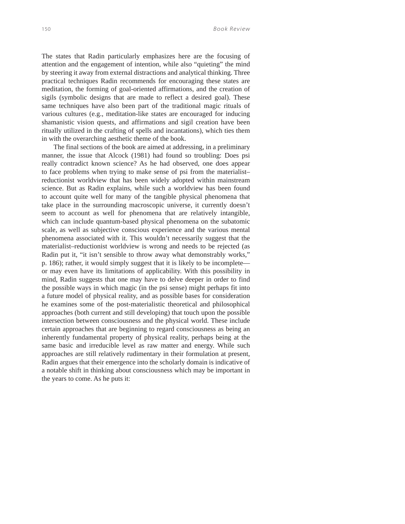The states that Radin particularly emphasizes here are the focusing of attention and the engagement of intention, while also "quieting" the mind by steering it away from external distractions and analytical thinking. Three practical techniques Radin recommends for encouraging these states are meditation, the forming of goal-oriented affirmations, and the creation of sigils (symbolic designs that are made to reflect a desired goal). These same techniques have also been part of the traditional magic rituals of various cultures (e.g., meditation-like states are encouraged for inducing shamanistic vision quests, and affirmations and sigil creation have been ritually utilized in the crafting of spells and incantations), which ties them in with the overarching aesthetic theme of the book.

The final sections of the book are aimed at addressing, in a preliminary manner, the issue that Alcock (1981) had found so troubling: Does psi really contradict known science? As he had observed, one does appear to face problems when trying to make sense of psi from the materialist– reductionist worldview that has been widely adopted within mainstream science. But as Radin explains, while such a worldview has been found to account quite well for many of the tangible physical phenomena that take place in the surrounding macroscopic universe, it currently doesn't seem to account as well for phenomena that are relatively intangible, which can include quantum-based physical phenomena on the subatomic scale, as well as subjective conscious experience and the various mental phenomena associated with it. This wouldn't necessarily suggest that the materialist–reductionist worldview is wrong and needs to be rejected (as Radin put it, "it isn't sensible to throw away what demonstrably works," p. 186); rather, it would simply suggest that it is likely to be incomplete or may even have its limitations of applicability. With this possibility in mind, Radin suggests that one may have to delve deeper in order to find the possible ways in which magic (in the psi sense) might perhaps fit into a future model of physical reality, and as possible bases for consideration he examines some of the post-materialistic theoretical and philosophical approaches (both current and still developing) that touch upon the possible intersection between consciousness and the physical world. These include certain approaches that are beginning to regard consciousness as being an inherently fundamental property of physical reality, perhaps being at the same basic and irreducible level as raw matter and energy. While such approaches are still relatively rudimentary in their formulation at present, Radin argues that their emergence into the scholarly domain is indicative of a notable shift in thinking about consciousness which may be important in the years to come. As he puts it: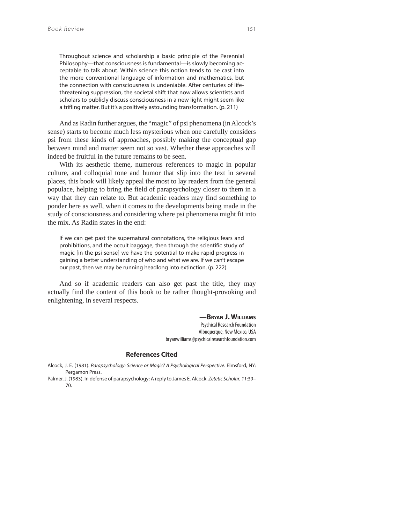Throughout science and scholarship a basic principle of the Perennial Philosophy—that consciousness is fundamental—is slowly becoming acceptable to talk about. Within science this notion tends to be cast into the more conventional language of information and mathematics, but the connection with consciousness is undeniable. After centuries of lifethreatening suppression, the societal shift that now allows scientists and scholars to publicly discuss consciousness in a new light might seem like a trifling matter. But it's a positively astounding transformation. (p. 211)

And as Radin further argues, the "magic" of psi phenomena (in Alcock's sense) starts to become much less mysterious when one carefully considers psi from these kinds of approaches, possibly making the conceptual gap between mind and matter seem not so vast. Whether these approaches will indeed be fruitful in the future remains to be seen.

With its aesthetic theme, numerous references to magic in popular culture, and colloquial tone and humor that slip into the text in several places, this book will likely appeal the most to lay readers from the general populace, helping to bring the field of parapsychology closer to them in a way that they can relate to. But academic readers may find something to ponder here as well, when it comes to the developments being made in the study of consciousness and considering where psi phenomena might fit into the mix. As Radin states in the end:

If we can get past the supernatural connotations, the religious fears and prohibitions, and the occult baggage, then through the scientific study of magic [in the psi sense] we have the potential to make rapid progress in gaining a better understanding of who and what we are. If we can't escape our past, then we may be running headlong into extinction. (p. 222)

And so if academic readers can also get past the title, they may actually find the content of this book to be rather thought-provoking and enlightening, in several respects.

> **—BRYAN J. WILLIAMS** Psychical Research Foundation Albuquerque, New Mexico, USA bryanwilliams@psychicalresearchfoundation.com

## **References Cited**

Alcock, J. E. (1981). Parapsychology: Science or Magic? A Psychological Perspective. Elmsford, NY: Pergamon Press.

Palmer, J. (1983). In defense of parapsychology: A reply to James E. Alcock. Zetetic Scholar, 11:39– 70.